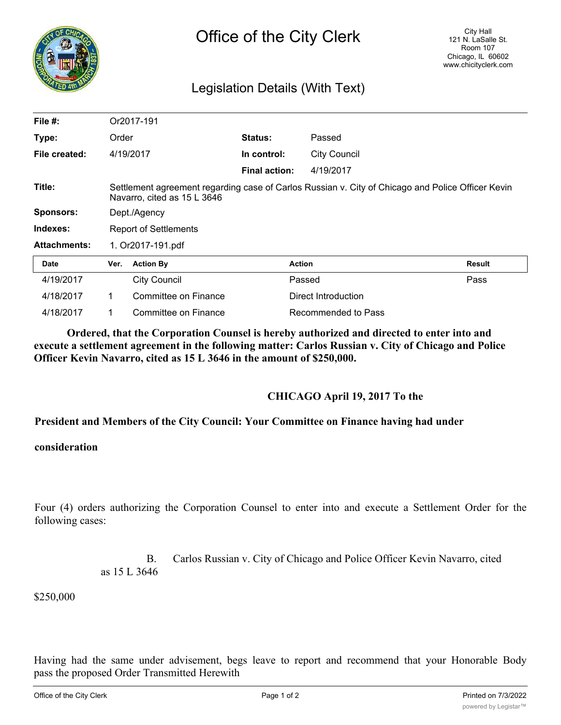

## Legislation Details (With Text)

| File $#$ :          | Or2017-191                                                                                                                       |                      |                      |                     |        |
|---------------------|----------------------------------------------------------------------------------------------------------------------------------|----------------------|----------------------|---------------------|--------|
| Type:               | Order                                                                                                                            |                      | <b>Status:</b>       | Passed              |        |
| File created:       | 4/19/2017                                                                                                                        |                      | In control:          | <b>City Council</b> |        |
|                     |                                                                                                                                  |                      | <b>Final action:</b> | 4/19/2017           |        |
| Title:              | Settlement agreement regarding case of Carlos Russian v. City of Chicago and Police Officer Kevin<br>Navarro, cited as 15 L 3646 |                      |                      |                     |        |
| <b>Sponsors:</b>    | Dept./Agency                                                                                                                     |                      |                      |                     |        |
| Indexes:            | <b>Report of Settlements</b>                                                                                                     |                      |                      |                     |        |
| <b>Attachments:</b> | 1. Or2017-191.pdf                                                                                                                |                      |                      |                     |        |
| <b>Date</b>         | Ver.                                                                                                                             | <b>Action By</b>     |                      | <b>Action</b>       | Result |
| 4/19/2017           |                                                                                                                                  | <b>City Council</b>  |                      | Passed              | Pass   |
| 4/18/2017           | 1                                                                                                                                | Committee on Finance |                      | Direct Introduction |        |
| 4/18/2017           | 1                                                                                                                                | Committee on Finance |                      | Recommended to Pass |        |

**Ordered, that the Corporation Counsel is hereby authorized and directed to enter into and execute a settlement agreement in the following matter: Carlos Russian v. City of Chicago and Police Officer Kevin Navarro, cited as 15 L 3646 in the amount of \$250,000.**

## **CHICAGO April 19, 2017 To the**

## **President and Members of the City Council: Your Committee on Finance having had under**

## **consideration**

Four (4) orders authorizing the Corporation Counsel to enter into and execute a Settlement Order for the following cases:

> B. Carlos Russian v. City of Chicago and Police Officer Kevin Navarro, cited as 15 L 3646

\$250,000

Having had the same under advisement, begs leave to report and recommend that your Honorable Body pass the proposed Order Transmitted Herewith